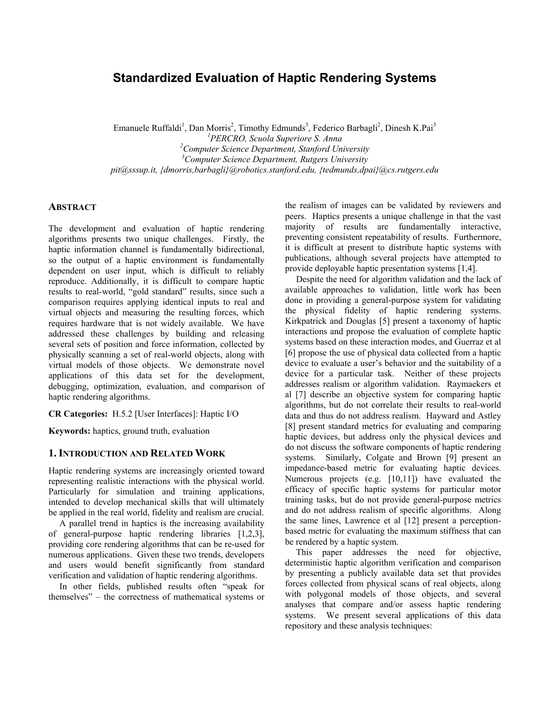# **Standardized Evaluation of Haptic Rendering Systems**

Emanuele Ruffaldi<sup>1</sup>, Dan Morris<sup>2</sup>, Timothy Edmunds<sup>3</sup>, Federico Barbagli<sup>2</sup>, Dinesh K.Pai<sup>3</sup> *1 PERCRO, Scuola Superiore S. Anna 2 Computer Science Department, Stanford University 3 Computer Science Department, Rutgers University pit@sssup.it, {dmorris,barbagli}@robotics.stanford.edu, {tedmunds,dpai}@cs.rutgers.edu* 

## **ABSTRACT**

The development and evaluation of haptic rendering algorithms presents two unique challenges. Firstly, the haptic information channel is fundamentally bidirectional, so the output of a haptic environment is fundamentally dependent on user input, which is difficult to reliably reproduce. Additionally, it is difficult to compare haptic results to real-world, "gold standard" results, since such a comparison requires applying identical inputs to real and virtual objects and measuring the resulting forces, which requires hardware that is not widely available. We have addressed these challenges by building and releasing several sets of position and force information, collected by physically scanning a set of real-world objects, along with virtual models of those objects. We demonstrate novel applications of this data set for the development, debugging, optimization, evaluation, and comparison of haptic rendering algorithms.

#### **CR Categories:** H.5.2 [User Interfaces]: Haptic I/O

**Keywords:** haptics, ground truth, evaluation

#### **1. INTRODUCTION AND RELATED WORK**

Haptic rendering systems are increasingly oriented toward representing realistic interactions with the physical world. Particularly for simulation and training applications, intended to develop mechanical skills that will ultimately be applied in the real world, fidelity and realism are crucial.

A parallel trend in haptics is the increasing availability of general-purpose haptic rendering libraries [1,2,3], providing core rendering algorithms that can be re-used for numerous applications. Given these two trends, developers and users would benefit significantly from standard verification and validation of haptic rendering algorithms.

In other fields, published results often "speak for themselves" – the correctness of mathematical systems or

the realism of images can be validated by reviewers and peers. Haptics presents a unique challenge in that the vast majority of results are fundamentally interactive, preventing consistent repeatability of results. Furthermore, it is difficult at present to distribute haptic systems with publications, although several projects have attempted to provide deployable haptic presentation systems [1,4].

Despite the need for algorithm validation and the lack of available approaches to validation, little work has been done in providing a general-purpose system for validating the physical fidelity of haptic rendering systems. Kirkpatrick and Douglas [5] present a taxonomy of haptic interactions and propose the evaluation of complete haptic systems based on these interaction modes, and Guerraz et al [6] propose the use of physical data collected from a haptic device to evaluate a user's behavior and the suitability of a device for a particular task. Neither of these projects addresses realism or algorithm validation. Raymaekers et al [7] describe an objective system for comparing haptic algorithms, but do not correlate their results to real-world data and thus do not address realism. Hayward and Astley [8] present standard metrics for evaluating and comparing haptic devices, but address only the physical devices and do not discuss the software components of haptic rendering systems. Similarly, Colgate and Brown [9] present an impedance-based metric for evaluating haptic devices. Numerous projects (e.g. [10,11]) have evaluated the efficacy of specific haptic systems for particular motor training tasks, but do not provide general-purpose metrics and do not address realism of specific algorithms. Along the same lines, Lawrence et al [12] present a perceptionbased metric for evaluating the maximum stiffness that can be rendered by a haptic system.

This paper addresses the need for objective, deterministic haptic algorithm verification and comparison by presenting a publicly available data set that provides forces collected from physical scans of real objects, along with polygonal models of those objects, and several analyses that compare and/or assess haptic rendering systems. We present several applications of this data repository and these analysis techniques: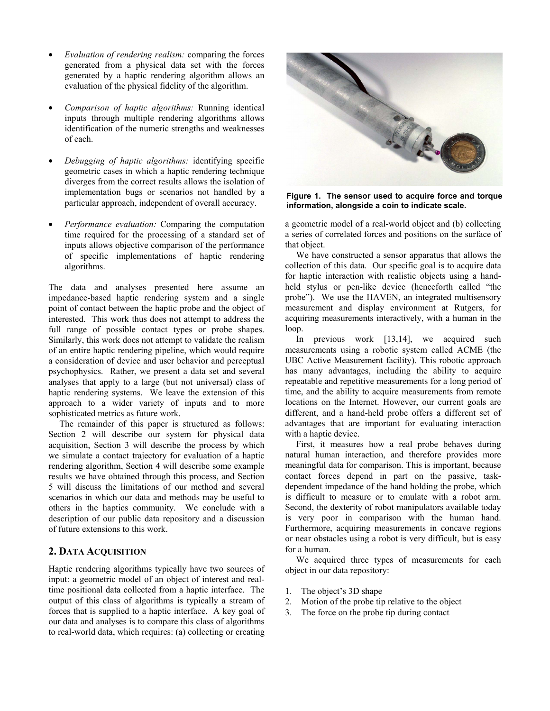- *Evaluation of rendering realism:* comparing the forces generated from a physical data set with the forces generated by a haptic rendering algorithm allows an evaluation of the physical fidelity of the algorithm.
- *Comparison of haptic algorithms:* Running identical inputs through multiple rendering algorithms allows identification of the numeric strengths and weaknesses of each.
- *Debugging of haptic algorithms:* identifying specific geometric cases in which a haptic rendering technique diverges from the correct results allows the isolation of implementation bugs or scenarios not handled by a particular approach, independent of overall accuracy.
- *Performance evaluation:* Comparing the computation time required for the processing of a standard set of inputs allows objective comparison of the performance of specific implementations of haptic rendering algorithms.

The data and analyses presented here assume an impedance-based haptic rendering system and a single point of contact between the haptic probe and the object of interested. This work thus does not attempt to address the full range of possible contact types or probe shapes. Similarly, this work does not attempt to validate the realism of an entire haptic rendering pipeline, which would require a consideration of device and user behavior and perceptual psychophysics. Rather, we present a data set and several analyses that apply to a large (but not universal) class of haptic rendering systems. We leave the extension of this approach to a wider variety of inputs and to more sophisticated metrics as future work.

The remainder of this paper is structured as follows: Section 2 will describe our system for physical data acquisition, Section 3 will describe the process by which we simulate a contact trajectory for evaluation of a haptic rendering algorithm, Section 4 will describe some example results we have obtained through this process, and Section 5 will discuss the limitations of our method and several scenarios in which our data and methods may be useful to others in the haptics community. We conclude with a description of our public data repository and a discussion of future extensions to this work.

# **2. DATA ACQUISITION**

Haptic rendering algorithms typically have two sources of input: a geometric model of an object of interest and realtime positional data collected from a haptic interface. The output of this class of algorithms is typically a stream of forces that is supplied to a haptic interface. A key goal of our data and analyses is to compare this class of algorithms to real-world data, which requires: (a) collecting or creating



**Figure 1. The sensor used to acquire force and torque information, alongside a coin to indicate scale.** 

a geometric model of a real-world object and (b) collecting a series of correlated forces and positions on the surface of that object.

We have constructed a sensor apparatus that allows the collection of this data. Our specific goal is to acquire data for haptic interaction with realistic objects using a handheld stylus or pen-like device (henceforth called "the probe"). We use the HAVEN, an integrated multisensory measurement and display environment at Rutgers, for acquiring measurements interactively, with a human in the loop.

In previous work [13,14], we acquired such measurements using a robotic system called ACME (the UBC Active Measurement facility). This robotic approach has many advantages, including the ability to acquire repeatable and repetitive measurements for a long period of time, and the ability to acquire measurements from remote locations on the Internet. However, our current goals are different, and a hand-held probe offers a different set of advantages that are important for evaluating interaction with a haptic device.

First, it measures how a real probe behaves during natural human interaction, and therefore provides more meaningful data for comparison. This is important, because contact forces depend in part on the passive, taskdependent impedance of the hand holding the probe, which is difficult to measure or to emulate with a robot arm. Second, the dexterity of robot manipulators available today is very poor in comparison with the human hand. Furthermore, acquiring measurements in concave regions or near obstacles using a robot is very difficult, but is easy for a human.

We acquired three types of measurements for each object in our data repository:

- 1. The object's 3D shape
- 2. Motion of the probe tip relative to the object
- 3. The force on the probe tip during contact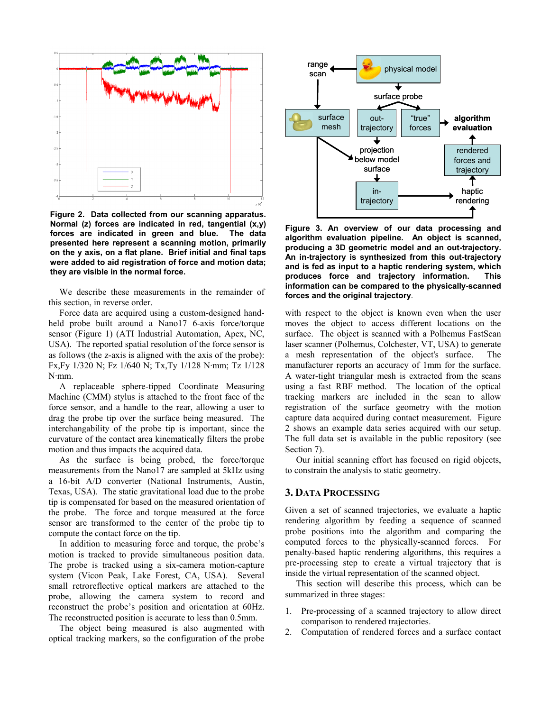

**Figure 2. Data collected from our scanning apparatus. Normal (z) forces are indicated in red, tangential (x,y) forces are indicated in green and blue. The data presented here represent a scanning motion, primarily on the y axis, on a flat plane. Brief initial and final taps were added to aid registration of force and motion data; they are visible in the normal force.** 

We describe these measurements in the remainder of this section, in reverse order.

Force data are acquired using a custom-designed handheld probe built around a Nano17 6-axis force/torque sensor (Figure 1) (ATI Industrial Automation, Apex, NC, USA). The reported spatial resolution of the force sensor is as follows (the z-axis is aligned with the axis of the probe): Fx,Fy 1/320 N; Fz 1/640 N; Tx,Ty 1/128 N·mm; Tz 1/128 N·mm.

A replaceable sphere-tipped Coordinate Measuring Machine (CMM) stylus is attached to the front face of the force sensor, and a handle to the rear, allowing a user to drag the probe tip over the surface being measured. The interchangability of the probe tip is important, since the curvature of the contact area kinematically filters the probe motion and thus impacts the acquired data.

As the surface is being probed, the force/torque measurements from the Nano17 are sampled at 5kHz using a 16-bit A/D converter (National Instruments, Austin, Texas, USA). The static gravitational load due to the probe tip is compensated for based on the measured orientation of the probe. The force and torque measured at the force sensor are transformed to the center of the probe tip to compute the contact force on the tip.

In addition to measuring force and torque, the probe's motion is tracked to provide simultaneous position data. The probe is tracked using a six-camera motion-capture system (Vicon Peak, Lake Forest, CA, USA). Several small retroreflective optical markers are attached to the probe, allowing the camera system to record and reconstruct the probe's position and orientation at 60Hz. The reconstructed position is accurate to less than 0.5mm.

The object being measured is also augmented with optical tracking markers, so the configuration of the probe



**Figure 3. An overview of our data processing and algorithm evaluation pipeline. An object is scanned, producing a 3D geometric model and an out-trajectory. An in-trajectory is synthesized from this out-trajectory and is fed as input to a haptic rendering system, which produces force and trajectory information. This information can be compared to the physically-scanned forces and the original trajectory**.

with respect to the object is known even when the user moves the object to access different locations on the surface. The object is scanned with a Polhemus FastScan laser scanner (Polhemus, Colchester, VT, USA) to generate a mesh representation of the object's surface. The manufacturer reports an accuracy of 1mm for the surface. A water-tight triangular mesh is extracted from the scans using a fast RBF method. The location of the optical tracking markers are included in the scan to allow registration of the surface geometry with the motion capture data acquired during contact measurement. Figure 2 shows an example data series acquired with our setup. The full data set is available in the public repository (see Section 7).

Our initial scanning effort has focused on rigid objects, to constrain the analysis to static geometry.

## **3. DATA PROCESSING**

Given a set of scanned trajectories, we evaluate a haptic rendering algorithm by feeding a sequence of scanned probe positions into the algorithm and comparing the computed forces to the physically-scanned forces. For penalty-based haptic rendering algorithms, this requires a pre-processing step to create a virtual trajectory that is inside the virtual representation of the scanned object.

This section will describe this process, which can be summarized in three stages:

- 1. Pre-processing of a scanned trajectory to allow direct comparison to rendered trajectories.
- 2. Computation of rendered forces and a surface contact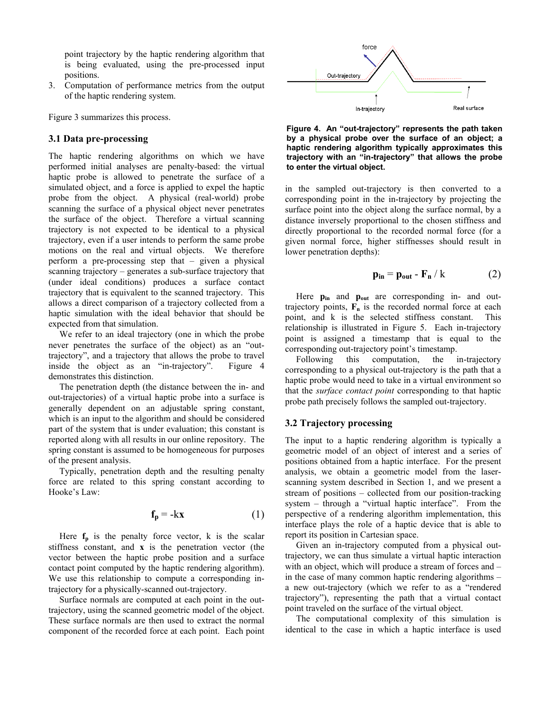point trajectory by the haptic rendering algorithm that is being evaluated, using the pre-processed input positions.

3. Computation of performance metrics from the output of the haptic rendering system.

Figure 3 summarizes this process.

#### **3.1 Data pre-processing**

The haptic rendering algorithms on which we have performed initial analyses are penalty-based: the virtual haptic probe is allowed to penetrate the surface of a simulated object, and a force is applied to expel the haptic probe from the object. A physical (real-world) probe scanning the surface of a physical object never penetrates the surface of the object. Therefore a virtual scanning trajectory is not expected to be identical to a physical trajectory, even if a user intends to perform the same probe motions on the real and virtual objects. We therefore perform a pre-processing step that – given a physical scanning trajectory – generates a sub-surface trajectory that (under ideal conditions) produces a surface contact trajectory that is equivalent to the scanned trajectory. This allows a direct comparison of a trajectory collected from a haptic simulation with the ideal behavior that should be expected from that simulation.

We refer to an ideal trajectory (one in which the probe never penetrates the surface of the object) as an "outtrajectory", and a trajectory that allows the probe to travel inside the object as an "in-trajectory". Figure 4 demonstrates this distinction.

The penetration depth (the distance between the in- and out-trajectories) of a virtual haptic probe into a surface is generally dependent on an adjustable spring constant, which is an input to the algorithm and should be considered part of the system that is under evaluation; this constant is reported along with all results in our online repository. The spring constant is assumed to be homogeneous for purposes of the present analysis.

Typically, penetration depth and the resulting penalty force are related to this spring constant according to Hooke's Law:

$$
\mathbf{f}_p = -k\mathbf{x} \tag{1}
$$

Here  $f_p$  is the penalty force vector, k is the scalar stiffness constant, and **x** is the penetration vector (the vector between the haptic probe position and a surface contact point computed by the haptic rendering algorithm). We use this relationship to compute a corresponding intrajectory for a physically-scanned out-trajectory.

Surface normals are computed at each point in the outtrajectory, using the scanned geometric model of the object. These surface normals are then used to extract the normal component of the recorded force at each point. Each point



**Figure 4. An "out-trajectory" represents the path taken by a physical probe over the surface of an object; a haptic rendering algorithm typically approximates this trajectory with an "in-trajectory" that allows the probe to enter the virtual object.** 

in the sampled out-trajectory is then converted to a corresponding point in the in-trajectory by projecting the surface point into the object along the surface normal, by a distance inversely proportional to the chosen stiffness and directly proportional to the recorded normal force (for a given normal force, higher stiffnesses should result in lower penetration depths):

$$
\mathbf{p}_{\text{in}} = \mathbf{p}_{\text{out}} - \mathbf{F}_{\text{n}} / k \tag{2}
$$

Here  $p_{in}$  and  $p_{out}$  are corresponding in- and outtrajectory points,  $\mathbf{F}_n$  is the recorded normal force at each point, and k is the selected stiffness constant. This relationship is illustrated in Figure 5. Each in-trajectory point is assigned a timestamp that is equal to the corresponding out-trajectory point's timestamp.

Following this computation, the in-trajectory corresponding to a physical out-trajectory is the path that a haptic probe would need to take in a virtual environment so that the *surface contact point* corresponding to that haptic probe path precisely follows the sampled out-trajectory.

#### **3.2 Trajectory processing**

The input to a haptic rendering algorithm is typically a geometric model of an object of interest and a series of positions obtained from a haptic interface. For the present analysis, we obtain a geometric model from the laserscanning system described in Section 1, and we present a stream of positions – collected from our position-tracking system – through a "virtual haptic interface". From the perspective of a rendering algorithm implementation, this interface plays the role of a haptic device that is able to report its position in Cartesian space.

Given an in-trajectory computed from a physical outtrajectory, we can thus simulate a virtual haptic interaction with an object, which will produce a stream of forces and – in the case of many common haptic rendering algorithms – a new out-trajectory (which we refer to as a "rendered trajectory"), representing the path that a virtual contact point traveled on the surface of the virtual object.

The computational complexity of this simulation is identical to the case in which a haptic interface is used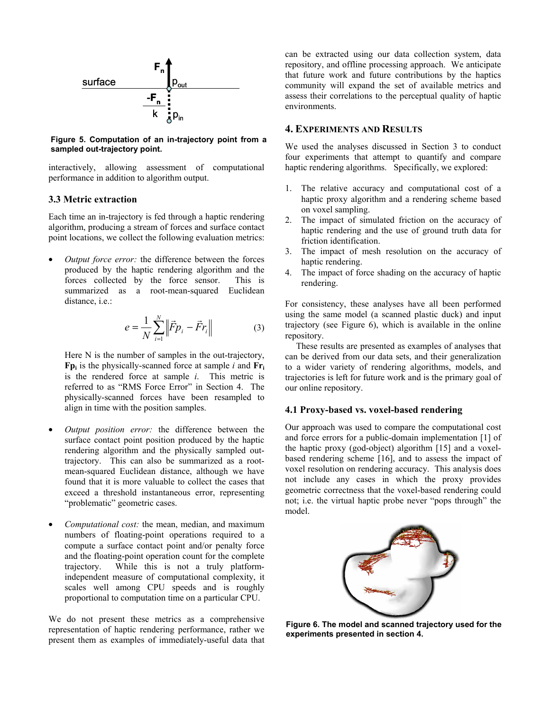

**Figure 5. Computation of an in-trajectory point from a sampled out-trajectory point.** 

interactively, allowing assessment of computational performance in addition to algorithm output.

## **3.3 Metric extraction**

Each time an in-trajectory is fed through a haptic rendering algorithm, producing a stream of forces and surface contact point locations, we collect the following evaluation metrics:

• *Output force error:* the difference between the forces produced by the haptic rendering algorithm and the forces collected by the force sensor. This is summarized as a root-mean-squared Euclidean distance, i.e.:

$$
e = \frac{1}{N} \sum_{i=1}^{N} \left\| \vec{F} p_i - \vec{F} r_i \right\|
$$
 (3)

 Here N is the number of samples in the out-trajectory,  $\mathbf{Fp}_i$  is the physically-scanned force at sample *i* and  $\mathbf{Fr}_i$ is the rendered force at sample *i*. This metric is referred to as "RMS Force Error" in Section 4. The physically-scanned forces have been resampled to align in time with the position samples.

- *Output position error:* the difference between the surface contact point position produced by the haptic rendering algorithm and the physically sampled outtrajectory. This can also be summarized as a rootmean-squared Euclidean distance, although we have found that it is more valuable to collect the cases that exceed a threshold instantaneous error, representing "problematic" geometric cases.
- *Computational cost:* the mean, median, and maximum numbers of floating-point operations required to a compute a surface contact point and/or penalty force and the floating-point operation count for the complete trajectory. While this is not a truly platformindependent measure of computational complexity, it scales well among CPU speeds and is roughly proportional to computation time on a particular CPU.

We do not present these metrics as a comprehensive representation of haptic rendering performance, rather we present them as examples of immediately-useful data that can be extracted using our data collection system, data repository, and offline processing approach. We anticipate that future work and future contributions by the haptics community will expand the set of available metrics and assess their correlations to the perceptual quality of haptic environments.

# **4. EXPERIMENTS AND RESULTS**

We used the analyses discussed in Section 3 to conduct four experiments that attempt to quantify and compare haptic rendering algorithms. Specifically, we explored:

- 1. The relative accuracy and computational cost of a haptic proxy algorithm and a rendering scheme based on voxel sampling.
- 2. The impact of simulated friction on the accuracy of haptic rendering and the use of ground truth data for friction identification.
- 3. The impact of mesh resolution on the accuracy of haptic rendering.
- 4. The impact of force shading on the accuracy of haptic rendering.

For consistency, these analyses have all been performed using the same model (a scanned plastic duck) and input trajectory (see Figure 6), which is available in the online repository.

These results are presented as examples of analyses that can be derived from our data sets, and their generalization to a wider variety of rendering algorithms, models, and trajectories is left for future work and is the primary goal of our online repository.

#### **4.1 Proxy-based vs. voxel-based rendering**

Our approach was used to compare the computational cost and force errors for a public-domain implementation [1] of the haptic proxy (god-object) algorithm [15] and a voxelbased rendering scheme [16], and to assess the impact of voxel resolution on rendering accuracy. This analysis does not include any cases in which the proxy provides geometric correctness that the voxel-based rendering could not; i.e. the virtual haptic probe never "pops through" the model.



**Figure 6. The model and scanned trajectory used for the experiments presented in section 4.**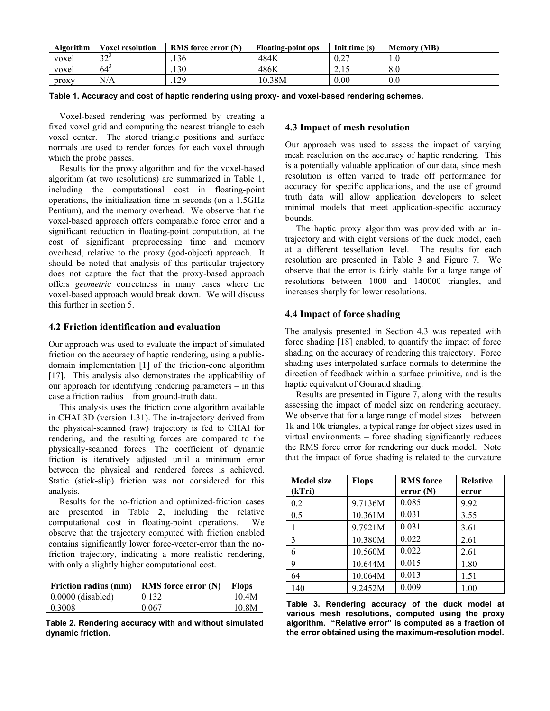| <b>Algorithm</b> | <b>Voxel resolution</b> | <b>RMS</b> force error (N) | <b>Floating-point ops</b> | Init time (s) | <b>Memory (MB)</b> |
|------------------|-------------------------|----------------------------|---------------------------|---------------|--------------------|
| voxel            | 22<br>ے ر               | .136                       | 484K                      | 0.27          |                    |
| voxel            | -64                     | .130                       | 486K                      | ل 1 .         | 8.0                |
| proxy            | N/A                     | .129                       | 10.38M                    | 0.00          | 0.0                |

**Table 1. Accuracy and cost of haptic rendering using proxy- and voxel-based rendering schemes.** 

Voxel-based rendering was performed by creating a fixed voxel grid and computing the nearest triangle to each voxel center. The stored triangle positions and surface normals are used to render forces for each voxel through which the probe passes.

Results for the proxy algorithm and for the voxel-based algorithm (at two resolutions) are summarized in Table 1, including the computational cost in floating-point operations, the initialization time in seconds (on a 1.5GHz Pentium), and the memory overhead. We observe that the voxel-based approach offers comparable force error and a significant reduction in floating-point computation, at the cost of significant preprocessing time and memory overhead, relative to the proxy (god-object) approach. It should be noted that analysis of this particular trajectory does not capture the fact that the proxy-based approach offers *geometric* correctness in many cases where the voxel-based approach would break down. We will discuss this further in section 5.

## **4.2 Friction identification and evaluation**

Our approach was used to evaluate the impact of simulated friction on the accuracy of haptic rendering, using a publicdomain implementation [1] of the friction-cone algorithm [17]. This analysis also demonstrates the applicability of our approach for identifying rendering parameters – in this case a friction radius – from ground-truth data.

This analysis uses the friction cone algorithm available in CHAI 3D (version 1.31). The in-trajectory derived from the physical-scanned (raw) trajectory is fed to CHAI for rendering, and the resulting forces are compared to the physically-scanned forces. The coefficient of dynamic friction is iteratively adjusted until a minimum error between the physical and rendered forces is achieved. Static (stick-slip) friction was not considered for this analysis.

Results for the no-friction and optimized-friction cases are presented in Table 2, including the relative computational cost in floating-point operations. We observe that the trajectory computed with friction enabled contains significantly lower force-vector-error than the nofriction trajectory, indicating a more realistic rendering, with only a slightly higher computational cost.

| <b>Friction radius (mm)</b> | <b>RMS</b> force error (N) | <b>Flops</b> |
|-----------------------------|----------------------------|--------------|
| $0.0000$ (disabled)         | 0.132                      | 10.4M        |
| 0.3008                      | 0.067                      | 10 RM        |

**Table 2. Rendering accuracy with and without simulated dynamic friction.** 

## **4.3 Impact of mesh resolution**

Our approach was used to assess the impact of varying mesh resolution on the accuracy of haptic rendering. This is a potentially valuable application of our data, since mesh resolution is often varied to trade off performance for accuracy for specific applications, and the use of ground truth data will allow application developers to select minimal models that meet application-specific accuracy bounds.

The haptic proxy algorithm was provided with an intrajectory and with eight versions of the duck model, each at a different tessellation level. The results for each resolution are presented in Table 3 and Figure 7. We observe that the error is fairly stable for a large range of resolutions between 1000 and 140000 triangles, and increases sharply for lower resolutions.

# **4.4 Impact of force shading**

The analysis presented in Section 4.3 was repeated with force shading [18] enabled, to quantify the impact of force shading on the accuracy of rendering this trajectory. Force shading uses interpolated surface normals to determine the direction of feedback within a surface primitive, and is the haptic equivalent of Gouraud shading.

Results are presented in Figure 7, along with the results assessing the impact of model size on rendering accuracy. We observe that for a large range of model sizes – between 1k and 10k triangles, a typical range for object sizes used in virtual environments – force shading significantly reduces the RMS force error for rendering our duck model. Note that the impact of force shading is related to the curvature

| <b>Model size</b> | <b>Flops</b> | <b>RMS</b> force | <b>Relative</b> |
|-------------------|--------------|------------------|-----------------|
| (kTri)            |              | error $(N)$      | error           |
| 0.2               | 9.7136M      | 0.085            | 9.92            |
| 0.5               | 10.361M      | 0.031            | 3.55            |
|                   | 9.7921M      | 0.031            | 3.61            |
| $\overline{3}$    | 10.380M      | 0.022            | 2.61            |
| 6                 | 10.560M      | 0.022            | 2.61            |
| 9                 | 10.644M      | 0.015            | 1.80            |
| 64                | 10.064M      | 0.013            | 1.51            |
| 140               | 9.2452M      | 0.009            | 1.00            |

**Table 3. Rendering accuracy of the duck model at various mesh resolutions, computed using the proxy algorithm. "Relative error" is computed as a fraction of the error obtained using the maximum-resolution model.**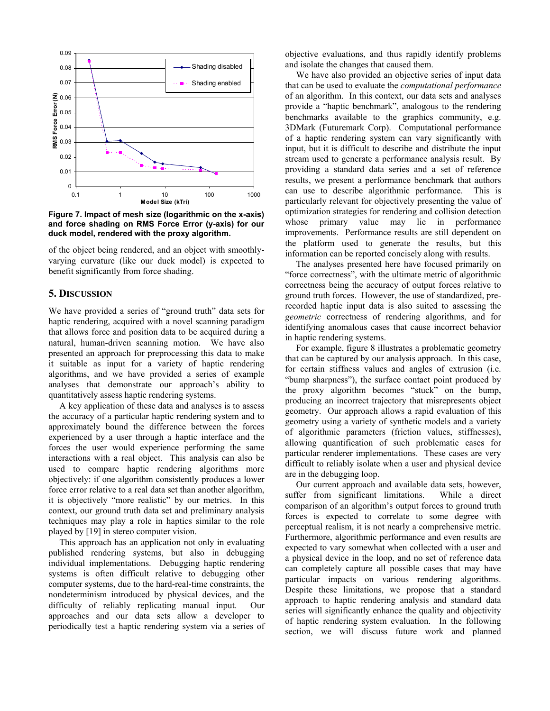

**Figure 7. Impact of mesh size (logarithmic on the x-axis) and force shading on RMS Force Error (y-axis) for our duck model, rendered with the proxy algorithm.**

of the object being rendered, and an object with smoothlyvarying curvature (like our duck model) is expected to benefit significantly from force shading.

## **5. DISCUSSION**

We have provided a series of "ground truth" data sets for haptic rendering, acquired with a novel scanning paradigm that allows force and position data to be acquired during a natural, human-driven scanning motion. We have also presented an approach for preprocessing this data to make it suitable as input for a variety of haptic rendering algorithms, and we have provided a series of example analyses that demonstrate our approach's ability to quantitatively assess haptic rendering systems.

A key application of these data and analyses is to assess the accuracy of a particular haptic rendering system and to approximately bound the difference between the forces experienced by a user through a haptic interface and the forces the user would experience performing the same interactions with a real object. This analysis can also be used to compare haptic rendering algorithms more objectively: if one algorithm consistently produces a lower force error relative to a real data set than another algorithm, it is objectively "more realistic" by our metrics. In this context, our ground truth data set and preliminary analysis techniques may play a role in haptics similar to the role played by [19] in stereo computer vision.

This approach has an application not only in evaluating published rendering systems, but also in debugging individual implementations. Debugging haptic rendering systems is often difficult relative to debugging other computer systems, due to the hard-real-time constraints, the nondeterminism introduced by physical devices, and the difficulty of reliably replicating manual input. Our approaches and our data sets allow a developer to periodically test a haptic rendering system via a series of objective evaluations, and thus rapidly identify problems and isolate the changes that caused them.

We have also provided an objective series of input data that can be used to evaluate the *computational performance* of an algorithm. In this context, our data sets and analyses provide a "haptic benchmark", analogous to the rendering benchmarks available to the graphics community, e.g. 3DMark (Futuremark Corp). Computational performance of a haptic rendering system can vary significantly with input, but it is difficult to describe and distribute the input stream used to generate a performance analysis result. By providing a standard data series and a set of reference results, we present a performance benchmark that authors can use to describe algorithmic performance. This is particularly relevant for objectively presenting the value of optimization strategies for rendering and collision detection whose primary value may lie in performance improvements. Performance results are still dependent on the platform used to generate the results, but this information can be reported concisely along with results.

The analyses presented here have focused primarily on "force correctness", with the ultimate metric of algorithmic correctness being the accuracy of output forces relative to ground truth forces. However, the use of standardized, prerecorded haptic input data is also suited to assessing the *geometric* correctness of rendering algorithms, and for identifying anomalous cases that cause incorrect behavior in haptic rendering systems.

For example, figure 8 illustrates a problematic geometry that can be captured by our analysis approach. In this case, for certain stiffness values and angles of extrusion (i.e. "bump sharpness"), the surface contact point produced by the proxy algorithm becomes "stuck" on the bump, producing an incorrect trajectory that misrepresents object geometry. Our approach allows a rapid evaluation of this geometry using a variety of synthetic models and a variety of algorithmic parameters (friction values, stiffnesses), allowing quantification of such problematic cases for particular renderer implementations. These cases are very difficult to reliably isolate when a user and physical device are in the debugging loop.

Our current approach and available data sets, however, suffer from significant limitations. While a direct comparison of an algorithm's output forces to ground truth forces is expected to correlate to some degree with perceptual realism, it is not nearly a comprehensive metric. Furthermore, algorithmic performance and even results are expected to vary somewhat when collected with a user and a physical device in the loop, and no set of reference data can completely capture all possible cases that may have particular impacts on various rendering algorithms. Despite these limitations, we propose that a standard approach to haptic rendering analysis and standard data series will significantly enhance the quality and objectivity of haptic rendering system evaluation. In the following section, we will discuss future work and planned